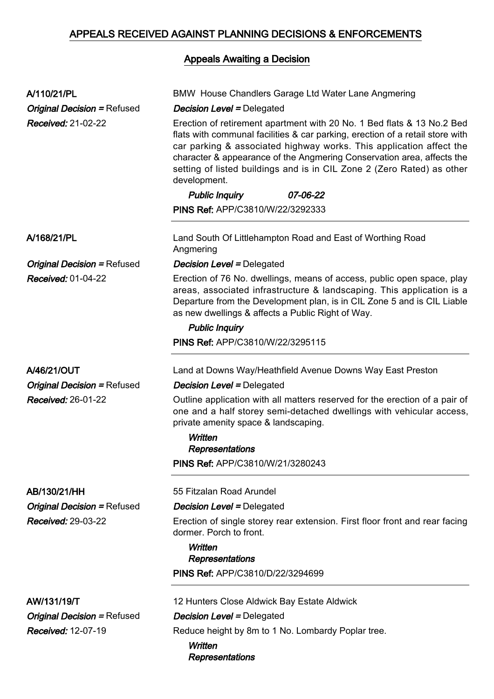## APPEALS RECEIVED AGAINST PLANNING DECISIONS & ENFORCEMENTS

## Appeals Awaiting a Decision

| A/110/21/PL<br><b>Original Decision = Refused</b><br><b>Received: 21-02-22</b> | <b>BMW House Chandlers Garage Ltd Water Lane Angmering</b><br><b>Decision Level = Delegated</b><br>Erection of retirement apartment with 20 No. 1 Bed flats & 13 No.2 Bed<br>flats with communal facilities & car parking, erection of a retail store with<br>car parking & associated highway works. This application affect the<br>character & appearance of the Angmering Conservation area, affects the<br>setting of listed buildings and is in CIL Zone 2 (Zero Rated) as other<br>development.<br><b>Public Inquiry</b><br>07-06-22 |
|--------------------------------------------------------------------------------|--------------------------------------------------------------------------------------------------------------------------------------------------------------------------------------------------------------------------------------------------------------------------------------------------------------------------------------------------------------------------------------------------------------------------------------------------------------------------------------------------------------------------------------------|
|                                                                                | <b>PINS Ref: APP/C3810/W/22/3292333</b>                                                                                                                                                                                                                                                                                                                                                                                                                                                                                                    |
| A/168/21/PL                                                                    | Land South Of Littlehampton Road and East of Worthing Road<br>Angmering                                                                                                                                                                                                                                                                                                                                                                                                                                                                    |
| <b>Original Decision = Refused</b>                                             | <b>Decision Level = Delegated</b>                                                                                                                                                                                                                                                                                                                                                                                                                                                                                                          |
| <b>Received: 01-04-22</b>                                                      | Erection of 76 No. dwellings, means of access, public open space, play<br>areas, associated infrastructure & landscaping. This application is a<br>Departure from the Development plan, is in CIL Zone 5 and is CIL Liable<br>as new dwellings & affects a Public Right of Way.<br><b>Public Inquiry</b>                                                                                                                                                                                                                                   |
|                                                                                | PINS Ref: APP/C3810/W/22/3295115                                                                                                                                                                                                                                                                                                                                                                                                                                                                                                           |
| A/46/21/OUT                                                                    | Land at Downs Way/Heathfield Avenue Downs Way East Preston                                                                                                                                                                                                                                                                                                                                                                                                                                                                                 |
| <b>Original Decision = Refused</b>                                             | <b>Decision Level = Delegated</b>                                                                                                                                                                                                                                                                                                                                                                                                                                                                                                          |
| Received: 26-01-22                                                             | Outline application with all matters reserved for the erection of a pair of<br>one and a half storey semi-detached dwellings with vehicular access,<br>private amenity space & landscaping.<br>Written<br>Representations                                                                                                                                                                                                                                                                                                                  |
|                                                                                | <b>PINS Ref: APP/C3810/W/21/3280243</b>                                                                                                                                                                                                                                                                                                                                                                                                                                                                                                    |
| AB/130/21/HH                                                                   | 55 Fitzalan Road Arundel                                                                                                                                                                                                                                                                                                                                                                                                                                                                                                                   |
| <b>Original Decision = Refused</b>                                             | <b>Decision Level = Delegated</b>                                                                                                                                                                                                                                                                                                                                                                                                                                                                                                          |
| <b>Received: 29-03-22</b>                                                      | Erection of single storey rear extension. First floor front and rear facing<br>dormer. Porch to front.<br>Written<br><b>Representations</b>                                                                                                                                                                                                                                                                                                                                                                                                |
|                                                                                | <b>PINS Ref: APP/C3810/D/22/3294699</b>                                                                                                                                                                                                                                                                                                                                                                                                                                                                                                    |
| AW/131/19/T                                                                    | 12 Hunters Close Aldwick Bay Estate Aldwick                                                                                                                                                                                                                                                                                                                                                                                                                                                                                                |
| <b>Original Decision = Refused</b>                                             | <b>Decision Level = Delegated</b>                                                                                                                                                                                                                                                                                                                                                                                                                                                                                                          |
|                                                                                |                                                                                                                                                                                                                                                                                                                                                                                                                                                                                                                                            |

Received: 12-07-19 Reduce height by 8m to 1 No. Lombardy Poplar tree.

**Written Representations**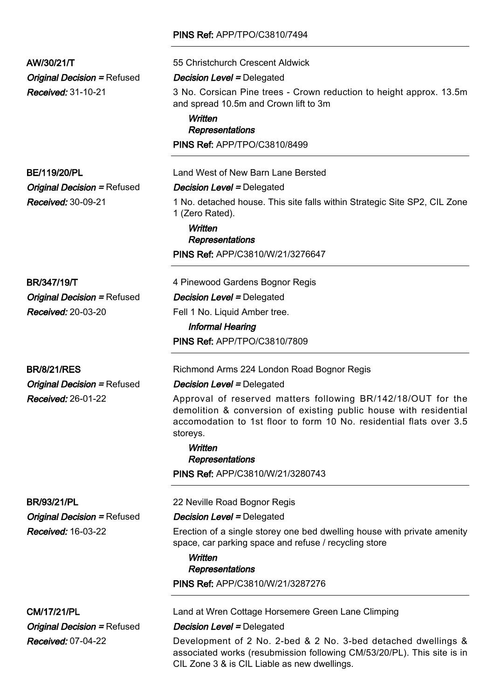## PINS Ref: APP/TPO/C3810/7494

| AW/30/21/T                         | 55 Christchurch Crescent Aldwick                                                                                                                     |
|------------------------------------|------------------------------------------------------------------------------------------------------------------------------------------------------|
| <b>Original Decision = Refused</b> | <b>Decision Level = Delegated</b>                                                                                                                    |
| Received: 31-10-21                 | 3 No. Corsican Pine trees - Crown reduction to height approx. 13.5m<br>and spread 10.5m and Crown lift to 3m                                         |
|                                    | Written<br>Representations                                                                                                                           |
|                                    | PINS Ref: APP/TPO/C3810/8499                                                                                                                         |
| <b>BE/119/20/PL</b>                | Land West of New Barn Lane Bersted                                                                                                                   |
| <b>Original Decision = Refused</b> | <b>Decision Level = Delegated</b>                                                                                                                    |
| Received: 30-09-21                 | 1 No. detached house. This site falls within Strategic Site SP2, CIL Zone<br>1 (Zero Rated).                                                         |
|                                    | Written<br>Representations                                                                                                                           |
|                                    | PINS Ref: APP/C3810/W/21/3276647                                                                                                                     |
|                                    |                                                                                                                                                      |
| <b>BR/347/19/T</b>                 | 4 Pinewood Gardens Bognor Regis                                                                                                                      |
| <b>Original Decision = Refused</b> | <b>Decision Level = Delegated</b>                                                                                                                    |
| Received: 20-03-20                 | Fell 1 No. Liquid Amber tree.<br><b>Informal Hearing</b>                                                                                             |
|                                    | <b>PINS Ref: APP/TPO/C3810/7809</b>                                                                                                                  |
| <b>BR/8/21/RES</b>                 | Richmond Arms 224 London Road Bognor Regis                                                                                                           |
| <b>Original Decision = Refused</b> | <b>Decision Level = Delegated</b>                                                                                                                    |
|                                    | Approval of reserved matters following BR/142/18/OUT for the                                                                                         |
| <b>Received: 26-01-22</b>          | demolition & conversion of existing public house with residential<br>accomodation to 1st floor to form 10 No. residential flats over 3.5<br>storeys. |
|                                    | Written                                                                                                                                              |
|                                    | <b>Representations</b>                                                                                                                               |
|                                    | <b>PINS Ref: APP/C3810/W/21/3280743</b>                                                                                                              |
| <b>BR/93/21/PL</b>                 | 22 Neville Road Bognor Regis                                                                                                                         |
| <b>Original Decision = Refused</b> | <b>Decision Level = Delegated</b>                                                                                                                    |
| <b>Received: 16-03-22</b>          | Erection of a single storey one bed dwelling house with private amenity<br>space, car parking space and refuse / recycling store                     |
|                                    | Written                                                                                                                                              |
|                                    | Representations<br>PINS Ref: APP/C3810/W/21/3287276                                                                                                  |
|                                    |                                                                                                                                                      |
| <b>CM/17/21/PL</b>                 | Land at Wren Cottage Horsemere Green Lane Climping                                                                                                   |
| <b>Original Decision = Refused</b> | <b>Decision Level = Delegated</b>                                                                                                                    |
| <b>Received: 07-04-22</b>          | Development of 2 No. 2-bed & 2 No. 3-bed detached dwellings &<br>$\alpha$ associated works (resubmission following $CM/53/20/DI$ ). This site is in  |

associated works (resubmission following CM/53/20/PL). This site is in CIL Zone 3 & is CIL Liable as new dwellings.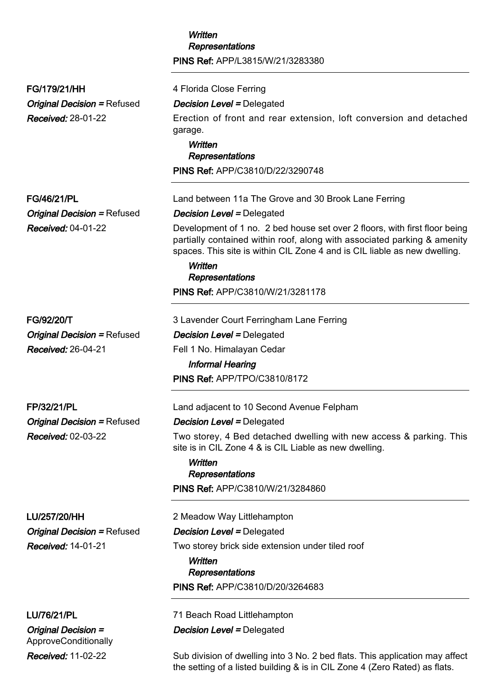|                                                                                 | Written<br><b>Representations</b><br>PINS Ref: APP/L3815/W/21/3283380                                                                                                                                                                                                    |
|---------------------------------------------------------------------------------|--------------------------------------------------------------------------------------------------------------------------------------------------------------------------------------------------------------------------------------------------------------------------|
| FG/179/21/HH<br><b>Original Decision = Refused</b><br><b>Received: 28-01-22</b> | 4 Florida Close Ferring<br><b>Decision Level = Delegated</b><br>Erection of front and rear extension, loft conversion and detached<br>garage.<br>Written<br>Representations                                                                                              |
|                                                                                 | PINS Ref: APP/C3810/D/22/3290748                                                                                                                                                                                                                                         |
| <b>FG/46/21/PL</b>                                                              | Land between 11a The Grove and 30 Brook Lane Ferring                                                                                                                                                                                                                     |
| <b>Original Decision = Refused</b>                                              | <b>Decision Level = Delegated</b>                                                                                                                                                                                                                                        |
| <b>Received: 04-01-22</b>                                                       | Development of 1 no. 2 bed house set over 2 floors, with first floor being<br>partially contained within roof, along with associated parking & amenity<br>spaces. This site is within CIL Zone 4 and is CIL liable as new dwelling.<br><b>Written</b><br>Representations |
|                                                                                 | PINS Ref: APP/C3810/W/21/3281178                                                                                                                                                                                                                                         |
| FG/92/20/T                                                                      | 3 Lavender Court Ferringham Lane Ferring                                                                                                                                                                                                                                 |
| <b>Original Decision = Refused</b>                                              | <b>Decision Level = Delegated</b>                                                                                                                                                                                                                                        |
| <b>Received: 26-04-21</b>                                                       | Fell 1 No. Himalayan Cedar                                                                                                                                                                                                                                               |
|                                                                                 | <b>Informal Hearing</b>                                                                                                                                                                                                                                                  |
|                                                                                 | PINS Ref: APP/TPO/C3810/8172                                                                                                                                                                                                                                             |
| FP/32/21/PL                                                                     | Land adjacent to 10 Second Avenue Felpham                                                                                                                                                                                                                                |
| <b>Original Decision = Refused</b>                                              | <b>Decision Level = Delegated</b>                                                                                                                                                                                                                                        |
| Received: 02-03-22                                                              | Two storey, 4 Bed detached dwelling with new access & parking. This<br>site is in CIL Zone 4 & is CIL Liable as new dwelling.<br>Written<br>Representations                                                                                                              |
|                                                                                 | PINS Ref: APP/C3810/W/21/3284860                                                                                                                                                                                                                                         |
| LU/257/20/HH                                                                    | 2 Meadow Way Littlehampton                                                                                                                                                                                                                                               |
| <b>Original Decision = Refused</b>                                              | <b>Decision Level = Delegated</b>                                                                                                                                                                                                                                        |
| Received: 14-01-21                                                              | Two storey brick side extension under tiled roof<br>Written<br>Representations                                                                                                                                                                                           |
|                                                                                 | <b>PINS Ref: APP/C3810/D/20/3264683</b>                                                                                                                                                                                                                                  |
| LU/76/21/PL                                                                     | 71 Beach Road Littlehampton                                                                                                                                                                                                                                              |
| <b>Original Decision =</b><br>ApproveConditionally                              | <b>Decision Level = Delegated</b>                                                                                                                                                                                                                                        |

*Received:* 11-02-22 Sub division of dwelling into 3 No. 2 bed flats. This application may affect the setting of a listed building & is in CIL Zone 4 (Zero Rated) as flats.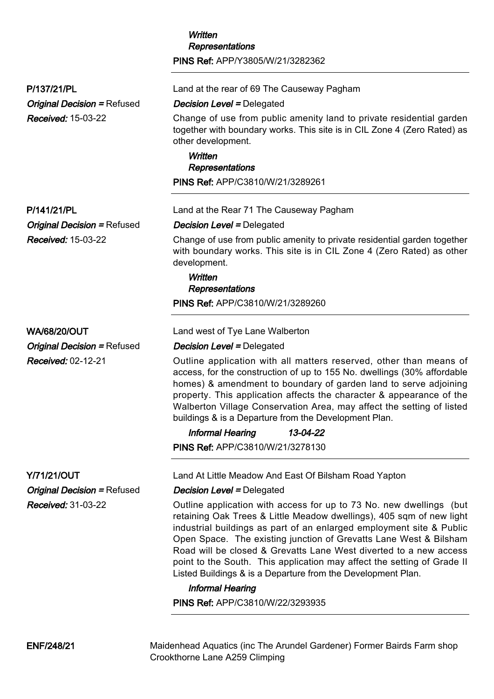|                                                          | Representations                                                                                                                                                                                                                                                                                                                                                                                                                                                                                          |
|----------------------------------------------------------|----------------------------------------------------------------------------------------------------------------------------------------------------------------------------------------------------------------------------------------------------------------------------------------------------------------------------------------------------------------------------------------------------------------------------------------------------------------------------------------------------------|
|                                                          | PINS Ref: APP/Y3805/W/21/3282362                                                                                                                                                                                                                                                                                                                                                                                                                                                                         |
| P/137/21/PL                                              | Land at the rear of 69 The Causeway Pagham                                                                                                                                                                                                                                                                                                                                                                                                                                                               |
| <b>Original Decision = Refused</b>                       | <b>Decision Level = Delegated</b>                                                                                                                                                                                                                                                                                                                                                                                                                                                                        |
| Received: 15-03-22                                       | Change of use from public amenity land to private residential garden<br>together with boundary works. This site is in CIL Zone 4 (Zero Rated) as<br>other development.                                                                                                                                                                                                                                                                                                                                   |
|                                                          | Written                                                                                                                                                                                                                                                                                                                                                                                                                                                                                                  |
|                                                          | <b>Representations</b>                                                                                                                                                                                                                                                                                                                                                                                                                                                                                   |
|                                                          | PINS Ref: APP/C3810/W/21/3289261                                                                                                                                                                                                                                                                                                                                                                                                                                                                         |
| P/141/21/PL                                              | Land at the Rear 71 The Causeway Pagham                                                                                                                                                                                                                                                                                                                                                                                                                                                                  |
| <b>Original Decision = Refused</b>                       | <b>Decision Level = Delegated</b>                                                                                                                                                                                                                                                                                                                                                                                                                                                                        |
| Received: 15-03-22                                       | Change of use from public amenity to private residential garden together<br>with boundary works. This site is in CIL Zone 4 (Zero Rated) as other<br>development.                                                                                                                                                                                                                                                                                                                                        |
|                                                          | Written<br>Representations                                                                                                                                                                                                                                                                                                                                                                                                                                                                               |
|                                                          | PINS Ref: APP/C3810/W/21/3289260                                                                                                                                                                                                                                                                                                                                                                                                                                                                         |
| <b>WA/68/20/OUT</b>                                      | Land west of Tye Lane Walberton                                                                                                                                                                                                                                                                                                                                                                                                                                                                          |
| <b>Original Decision = Refused</b>                       | <b>Decision Level = Delegated</b>                                                                                                                                                                                                                                                                                                                                                                                                                                                                        |
| Received: 02-12-21                                       | Outline application with all matters reserved, other than means of<br>access, for the construction of up to 155 No. dwellings (30% affordable<br>homes) & amendment to boundary of garden land to serve adjoining<br>property. This application affects the character & appearance of the<br>Walberton Village Conservation Area, may affect the setting of listed<br>buildings & is a Departure from the Development Plan.                                                                              |
|                                                          | 13-04-22<br><b>Informal Hearing</b>                                                                                                                                                                                                                                                                                                                                                                                                                                                                      |
|                                                          | PINS Ref: APP/C3810/W/21/3278130                                                                                                                                                                                                                                                                                                                                                                                                                                                                         |
| <b>Y/71/21/OUT</b><br><b>Original Decision = Refused</b> | Land At Little Meadow And East Of Bilsham Road Yapton<br><b>Decision Level = Delegated</b>                                                                                                                                                                                                                                                                                                                                                                                                               |
| <b>Received: 31-03-22</b>                                | Outline application with access for up to 73 No. new dwellings (but<br>retaining Oak Trees & Little Meadow dwellings), 405 sqm of new light<br>industrial buildings as part of an enlarged employment site & Public<br>Open Space. The existing junction of Grevatts Lane West & Bilsham<br>Road will be closed & Grevatts Lane West diverted to a new access<br>point to the South. This application may affect the setting of Grade II<br>Listed Buildings & is a Departure from the Development Plan. |
|                                                          | <b>Informal Hearing</b>                                                                                                                                                                                                                                                                                                                                                                                                                                                                                  |
|                                                          | <b>PINS Ref: APP/C3810/W/22/3293935</b>                                                                                                                                                                                                                                                                                                                                                                                                                                                                  |
|                                                          |                                                                                                                                                                                                                                                                                                                                                                                                                                                                                                          |

Written

ENF/248/21 Maidenhead Aquatics (inc The Arundel Gardener) Former Bairds Farm shop Crookthorne Lane A259 Climping